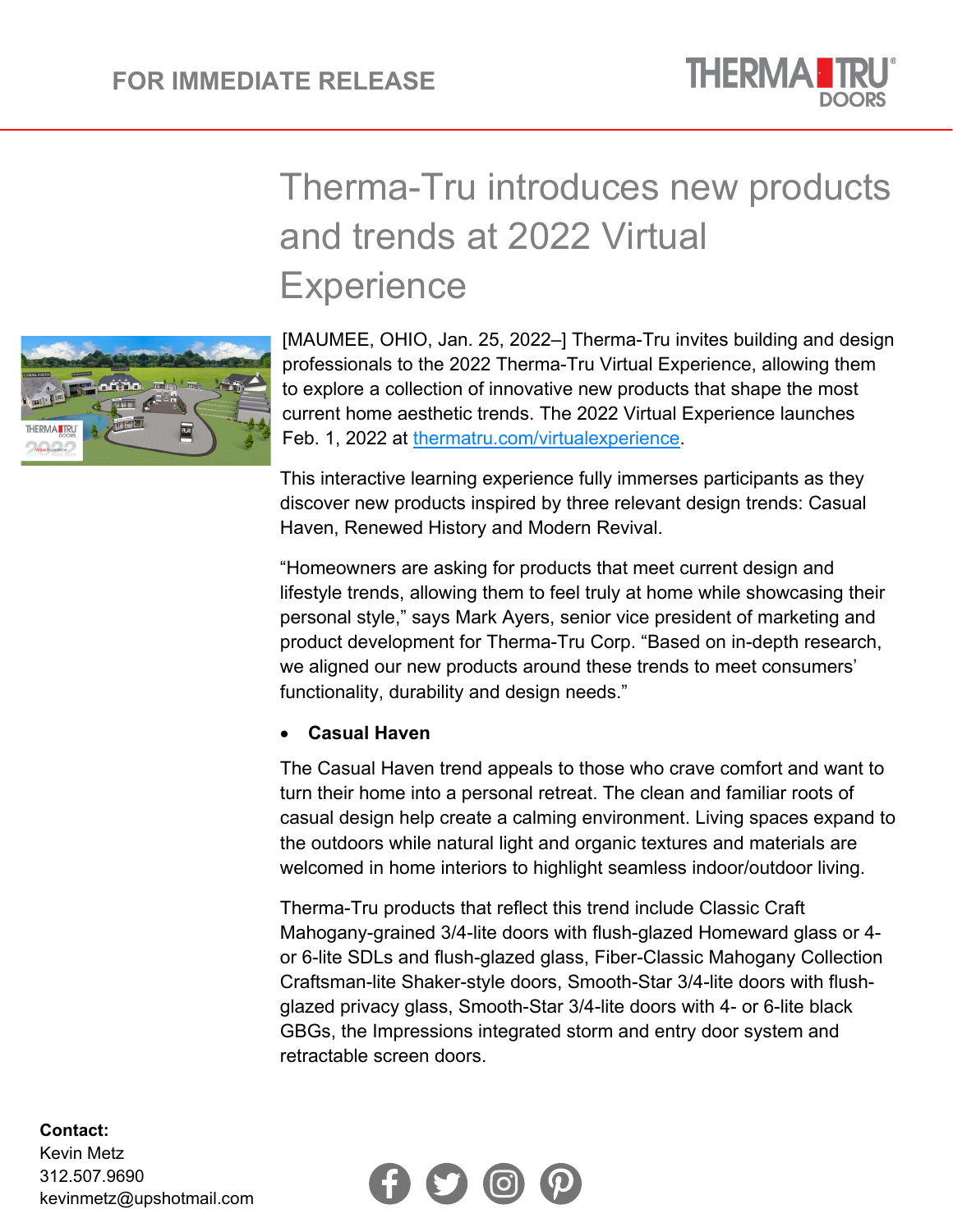

# Therma-Tru introduces new products and trends at 2022 Virtual **Experience**



[MAUMEE, OHIO, Jan. 25, 2022–] Therma-Tru invites building and design professionals to the 2022 Therma-Tru Virtual Experience, allowing them to explore a collection of innovative new products that shape the most current home aesthetic trends. The 2022 Virtual Experience launches Feb. 1, 2022 at [thermatru.com/virtualexperience.](https://www.thermatru.com/virtualexperience/)

This interactive learning experience fully immerses participants as they discover new products inspired by three relevant design trends: Casual Haven, Renewed History and Modern Revival.

"Homeowners are asking for products that meet current design and lifestyle trends, allowing them to feel truly at home while showcasing their personal style," says Mark Ayers, senior vice president of marketing and product development for Therma-Tru Corp. "Based on in-depth research, we aligned our new products around these trends to meet consumers' functionality, durability and design needs."

### • **Casual Haven**

The Casual Haven trend appeals to those who crave comfort and want to turn their home into a personal retreat. The clean and familiar roots of casual design help create a calming environment. Living spaces expand to the outdoors while natural light and organic textures and materials are welcomed in home interiors to highlight seamless indoor/outdoor living.

Therma-Tru products that reflect this trend include Classic Craft Mahogany-grained 3/4-lite doors with flush-glazed Homeward glass or 4 or 6-lite SDLs and flush-glazed glass, Fiber-Classic Mahogany Collection Craftsman-lite Shaker-style doors, Smooth-Star 3/4-lite doors with flushglazed privacy glass, Smooth-Star 3/4-lite doors with 4- or 6-lite black GBGs, the Impressions integrated storm and entry door system and retractable screen doors.



#### **Contact:**

Kevin Metz 312.507.9690 kevinmetz@upshotmail.com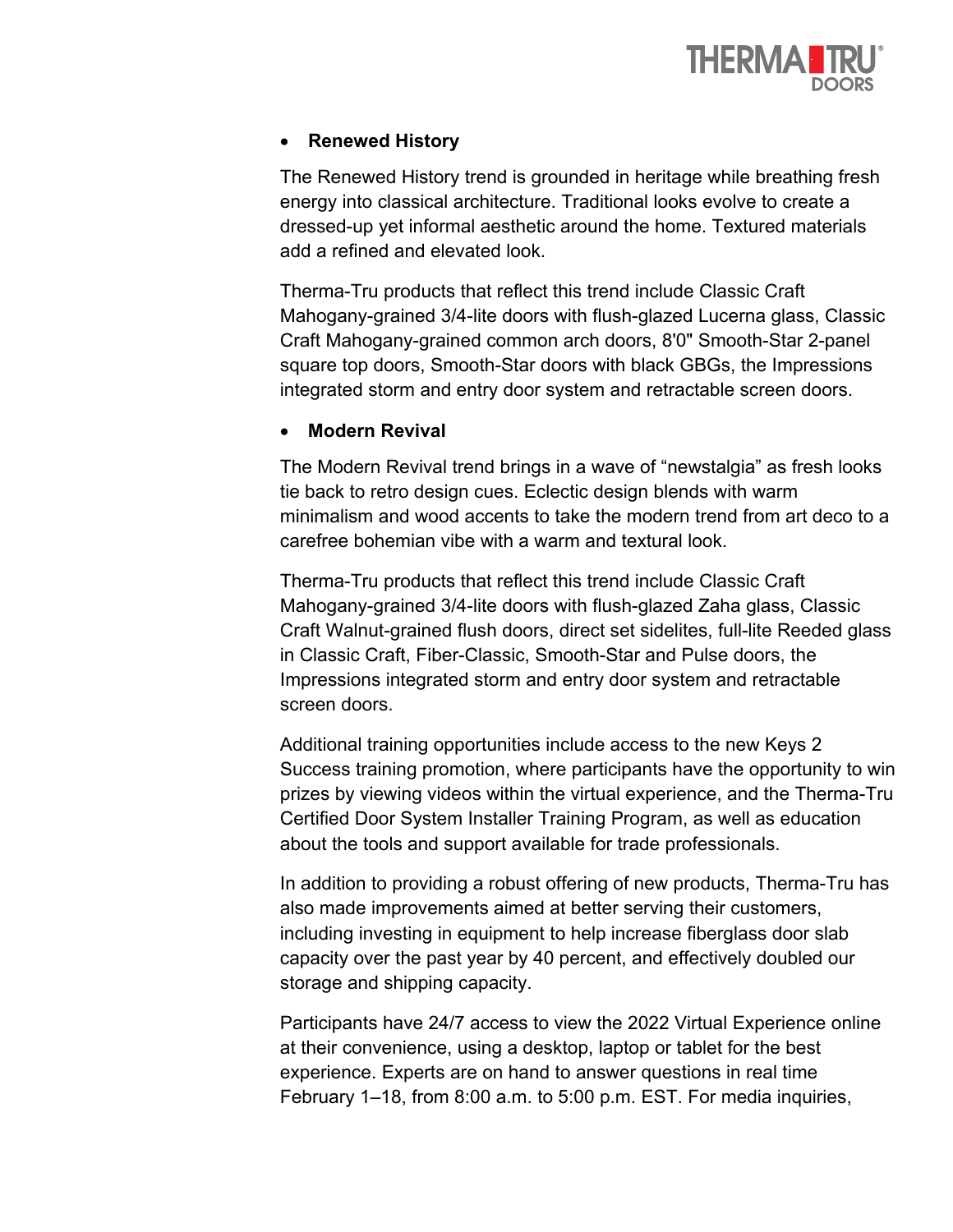

# • **Renewed History**

The Renewed History trend is grounded in heritage while breathing fresh energy into classical architecture. Traditional looks evolve to create a dressed-up yet informal aesthetic around the home. Textured materials add a refined and elevated look.

Therma-Tru products that reflect this trend include Classic Craft Mahogany-grained 3/4-lite doors with flush-glazed Lucerna glass, Classic Craft Mahogany-grained common arch doors, 8'0" Smooth-Star 2-panel square top doors, Smooth-Star doors with black GBGs, the Impressions integrated storm and entry door system and retractable screen doors.

### • **Modern Revival**

The Modern Revival trend brings in a wave of "newstalgia" as fresh looks tie back to retro design cues. Eclectic design blends with warm minimalism and wood accents to take the modern trend from art deco to a carefree bohemian vibe with a warm and textural look.

Therma-Tru products that reflect this trend include Classic Craft Mahogany-grained 3/4-lite doors with flush-glazed Zaha glass, Classic Craft Walnut-grained flush doors, direct set sidelites, full-lite Reeded glass in Classic Craft, Fiber-Classic, Smooth-Star and Pulse doors, the Impressions integrated storm and entry door system and retractable screen doors.

Additional training opportunities include access to the new Keys 2 Success training promotion, where participants have the opportunity to win prizes by viewing videos within the virtual experience, and the Therma-Tru Certified Door System Installer Training Program, as well as education about the tools and support available for trade professionals.

In addition to providing a robust offering of new products, Therma-Tru has also made improvements aimed at better serving their customers, including investing in equipment to help increase fiberglass door slab capacity over the past year by 40 percent, and effectively doubled our storage and shipping capacity.

Participants have 24/7 access to view the 2022 Virtual Experience online at their convenience, using a desktop, laptop or tablet for the best experience. Experts are on hand to answer questions in real time February 1–18, from 8:00 a.m. to 5:00 p.m. EST. For media inquiries,